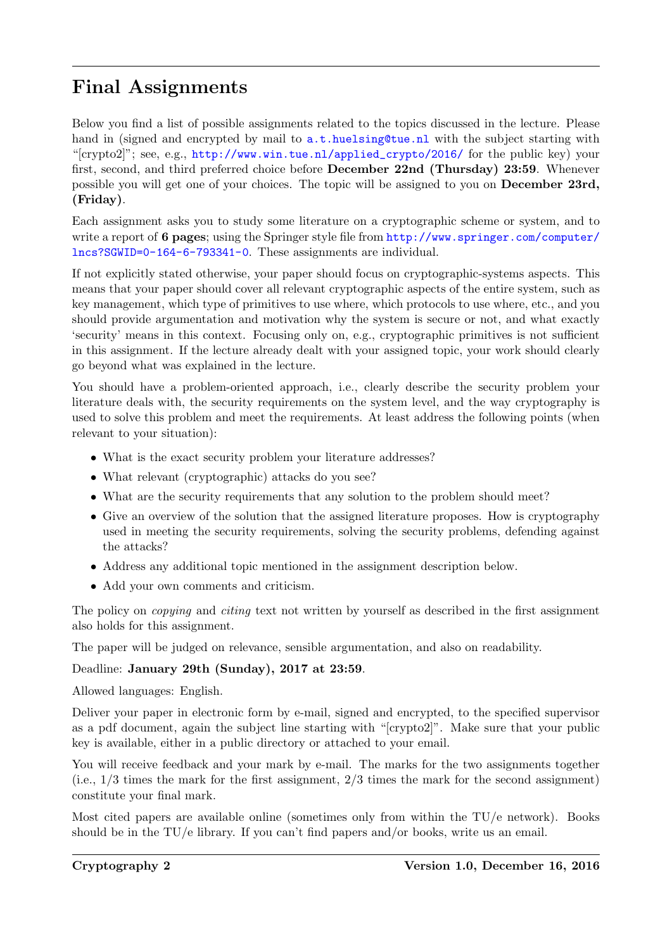# Final Assignments

Below you find a list of possible assignments related to the topics discussed in the lecture. Please hand in (signed and encrypted by mail to  $a.t.$  huelsing@tue.nl with the subject starting with "[crypto2]"; see, e.g., [http://www.win.tue.nl/applied\\_crypto/2016/](http://www.win.tue.nl/applied_crypto/2016/) for the public key) your first, second, and third preferred choice before December 22nd (Thursday) 23:59. Whenever possible you will get one of your choices. The topic will be assigned to you on December 23rd, (Friday).

Each assignment asks you to study some literature on a cryptographic scheme or system, and to write a report of 6 pages; using the Springer style file from [http://www.springer.com/computer/](http://www.springer.com/computer/lncs?SGWID=0-164-6-793341-0) [lncs?SGWID=0-164-6-793341-0](http://www.springer.com/computer/lncs?SGWID=0-164-6-793341-0). These assignments are individual.

If not explicitly stated otherwise, your paper should focus on cryptographic-systems aspects. This means that your paper should cover all relevant cryptographic aspects of the entire system, such as key management, which type of primitives to use where, which protocols to use where, etc., and you should provide argumentation and motivation why the system is secure or not, and what exactly 'security' means in this context. Focusing only on, e.g., cryptographic primitives is not sufficient in this assignment. If the lecture already dealt with your assigned topic, your work should clearly go beyond what was explained in the lecture.

You should have a problem-oriented approach, i.e., clearly describe the security problem your literature deals with, the security requirements on the system level, and the way cryptography is used to solve this problem and meet the requirements. At least address the following points (when relevant to your situation):

- What is the exact security problem your literature addresses?
- What relevant (cryptographic) attacks do you see?
- What are the security requirements that any solution to the problem should meet?
- Give an overview of the solution that the assigned literature proposes. How is cryptography used in meeting the security requirements, solving the security problems, defending against the attacks?
- Address any additional topic mentioned in the assignment description below.
- Add your own comments and criticism.

The policy on *copying* and *citing* text not written by yourself as described in the first assignment also holds for this assignment.

The paper will be judged on relevance, sensible argumentation, and also on readability.

## Deadline: January 29th (Sunday), 2017 at 23:59.

Allowed languages: English.

Deliver your paper in electronic form by e-mail, signed and encrypted, to the specified supervisor as a pdf document, again the subject line starting with "[crypto2]". Make sure that your public key is available, either in a public directory or attached to your email.

You will receive feedback and your mark by e-mail. The marks for the two assignments together  $(i.e., 1/3 times the mark for the first assignment,  $2/3$  times the mark for the second assignment)$ constitute your final mark.

Most cited papers are available online (sometimes only from within the TU/e network). Books should be in the  $TU/e$  library. If you can't find papers and/or books, write us an email.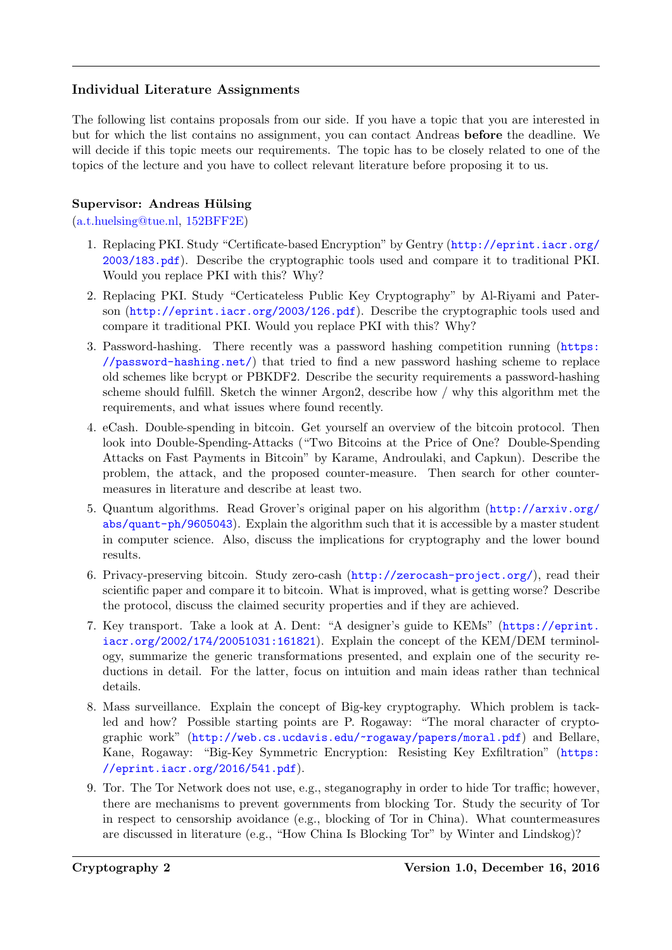## Individual Literature Assignments

The following list contains proposals from our side. If you have a topic that you are interested in but for which the list contains no assignment, you can contact Andreas before the deadline. We will decide if this topic meets our requirements. The topic has to be closely related to one of the topics of the lecture and you have to collect relevant literature before proposing it to us.

## Supervisor: Andreas Hülsing

[\(a.t.huelsing@tue.nl,](mailto:a.t.huelsing@tue.nl) [152BFF2E\)](http://www.win.tue.nl/applied_crypto/2015/Andreas%20Huelsing%20(0x152BFF2E)%20pub.asc)

- 1. Replacing PKI. Study "Certificate-based Encryption" by Gentry ([http://eprint.iacr.org/](http://eprint.iacr.org/2003/183.pdf) [2003/183.pdf](http://eprint.iacr.org/2003/183.pdf)). Describe the cryptographic tools used and compare it to traditional PKI. Would you replace PKI with this? Why?
- 2. Replacing PKI. Study "Certicateless Public Key Cryptography" by Al-Riyami and Paterson (<http://eprint.iacr.org/2003/126.pdf>). Describe the cryptographic tools used and compare it traditional PKI. Would you replace PKI with this? Why?
- 3. Password-hashing. There recently was a password hashing competition running ([https:](https://password-hashing.net/) [//password-hashing.net/](https://password-hashing.net/)) that tried to find a new password hashing scheme to replace old schemes like bcrypt or PBKDF2. Describe the security requirements a password-hashing scheme should fulfill. Sketch the winner Argon2, describe how / why this algorithm met the requirements, and what issues where found recently.
- 4. eCash. Double-spending in bitcoin. Get yourself an overview of the bitcoin protocol. Then look into Double-Spending-Attacks ("Two Bitcoins at the Price of One? Double-Spending Attacks on Fast Payments in Bitcoin" by Karame, Androulaki, and Capkun). Describe the problem, the attack, and the proposed counter-measure. Then search for other countermeasures in literature and describe at least two.
- 5. Quantum algorithms. Read Grover's original paper on his algorithm ([http://arxiv.org/](http://arxiv.org/abs/quant-ph/9605043) [abs/quant-ph/9605043](http://arxiv.org/abs/quant-ph/9605043)). Explain the algorithm such that it is accessible by a master student in computer science. Also, discuss the implications for cryptography and the lower bound results.
- 6. Privacy-preserving bitcoin. Study zero-cash (<http://zerocash-project.org/>), read their scientific paper and compare it to bitcoin. What is improved, what is getting worse? Describe the protocol, discuss the claimed security properties and if they are achieved.
- 7. Key transport. Take a look at A. Dent: "A designer's guide to KEMs" ([https://eprint.](https://eprint.iacr.org/2002/174/20051031:161821) [iacr.org/2002/174/20051031:161821](https://eprint.iacr.org/2002/174/20051031:161821)). Explain the concept of the KEM/DEM terminology, summarize the generic transformations presented, and explain one of the security reductions in detail. For the latter, focus on intuition and main ideas rather than technical details.
- 8. Mass surveillance. Explain the concept of Big-key cryptography. Which problem is tackled and how? Possible starting points are P. Rogaway: "The moral character of cryptographic work" (<http://web.cs.ucdavis.edu/~rogaway/papers/moral.pdf>) and Bellare, Kane, Rogaway: "Big-Key Symmetric Encryption: Resisting Key Exfiltration" ([https:](https://eprint.iacr.org/2016/541.pdf) [//eprint.iacr.org/2016/541.pdf](https://eprint.iacr.org/2016/541.pdf)).
- 9. Tor. The Tor Network does not use, e.g., steganography in order to hide Tor traffic; however, there are mechanisms to prevent governments from blocking Tor. Study the security of Tor in respect to censorship avoidance (e.g., blocking of Tor in China). What countermeasures are discussed in literature (e.g., "How China Is Blocking Tor" by Winter and Lindskog)?